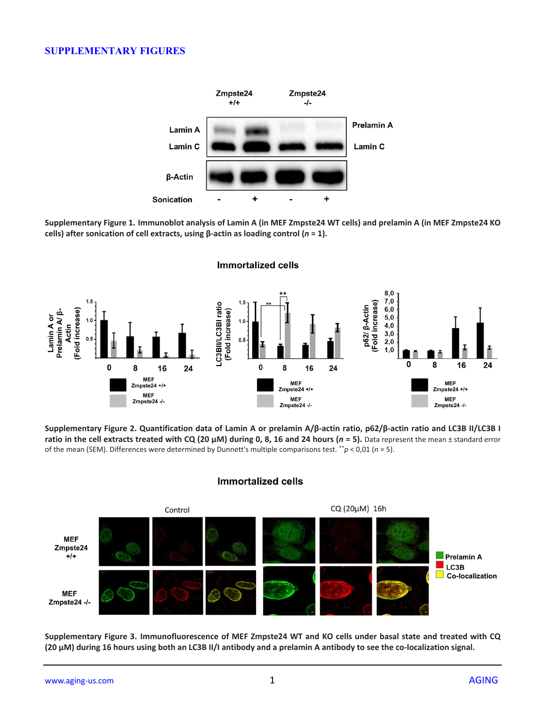## **SUPPLEMENTARY FIGURES**



**Supplementary Figure 1. Immunoblot analysis of Lamin A (in MEF Zmpste24 WT cells) and prelamin A (in MEF Zmpste24 KO cells) after sonication of cell extracts, using β-actin as loading control (***n* **= 1).**



**Supplementary Figure 2. Quantification data of Lamin A or prelamin A/β-actin ratio, p62/β-actin ratio and LC3B II/LC3B I ratio in the cell extracts treated with CQ (20**  $\mu$ **M) during 0, 8, 16 and 24 hours (** $n = 5$ **). Data represent the mean ± standard error** of the mean (SEM). Differences were determined by Dunnett's multiple comparisons test. \*\**p* < 0,01 (*n* = 5).





**Supplementary Figure 3. Immunofluorescence of MEF Zmpste24 WT and KO cells under basal state and treated with CQ (20 µM) during 16 hours using both an LC3B II/I antibody and a prelamin A antibody to see the co-localization signal.**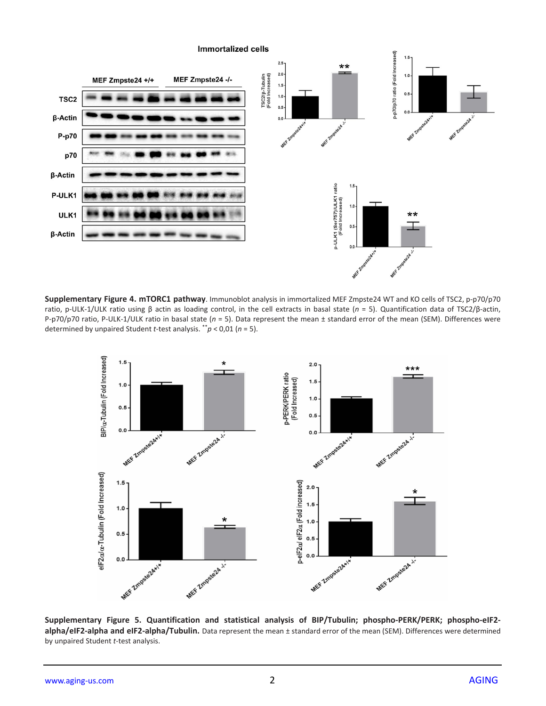

**Supplementary Figure 4. mTORC1 pathway**. Immunoblot analysis in immortalized MEF Zmpste24 WT and KO cells of TSC2, p-p70/p70 ratio, p-ULK-1/ULK ratio using β actin as loading control, in the cell extracts in basal state (*n* = 5). Quantification data of TSC2/β-actin, P-p70/p70 ratio, P-ULK-1/ULK ratio in basal state (*n* = 5). Data represent the mean ± standard error of the mean (SEM). Differences were determined by unpaired Student *t*-test analysis. \*\**p* < 0,01 (*n* = 5).



**Supplementary Figure 5. Quantification and statistical analysis of BIP/Tubulin; phospho-PERK/PERK; phospho-eIF2 alpha/eIF2-alpha and eIF2-alpha/Tubulin.** Data represent the mean ± standard error of the mean (SEM). Differences were determined by unpaired Student *t*-test analysis.